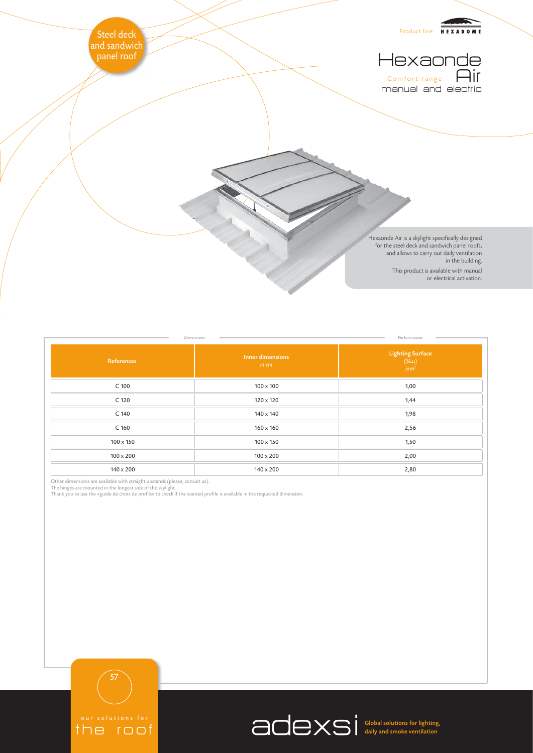

| Dimensions<br>Performances |                           |                                                |
|----------------------------|---------------------------|------------------------------------------------|
| References                 | Inner dimensions<br>in cm | Lighting Surface<br>(SLu)<br>$\frac{1}{im}m^2$ |
| $C$ 100                    | $100 \times 100$          | 1,00                                           |
| C 120                      | 120 x 120                 | 1,44                                           |
| C 140                      | 140 x 140                 | 1,98                                           |
| C <sub>160</sub>           | 160 x 160                 | 2,56                                           |
| 100 x 150                  | $100 \times 150$          | 1,50                                           |
| $100 \times 200$           | $100 \times 200$          | 2,00                                           |
| $140 \times 200$           | 140 x 200                 | 2,80                                           |

Other dimensions are available with straight upstands (please, consult us).<br>The hinges are mounted in the longest side of the skylight.<br>Thank you to use the «guide de choix de profils» to check if the wanted profile is ava



Global solutions for lighting, daily and smoke ventilation